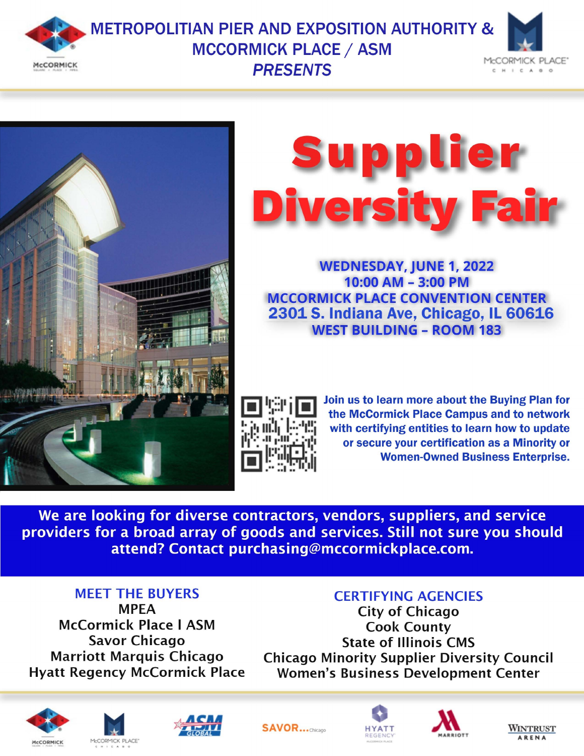

## **METROPOLITIAN PIER AND EXPOSITION AUTHORITY & MCCORMICK PLACE / ASM PRESENTS**







**WEDNESDAY, JUNE 1, 2022**  $10:00$  AM - 3:00 PM **MCCORMICK PLACE CONVENTION CENTER** 2301 S. Indiana Ave, Chicago, IL 60616 **WEST BUILDING - ROOM 183** 



Join us to learn more about the Buying Plan for the McCormick Place Campus and to network with certifying entities to learn how to update or secure your certification as a Minority or **Women-Owned Business Enterprise.** 

We are looking for diverse contractors, vendors, suppliers, and service providers for a broad array of goods and services. Still not sure you should attend? Contact purchasing@mccormickplace.com.

### **MEET THE BUYERS**

**MPEA McCormick Place | ASM Savor Chicago Marriott Marquis Chicago Hyatt Regency McCormick Place** 

## **CERTIFYING AGENCIES**

**City of Chicago Cook County State of Illinois CMS Chicago Minority Supplier Diversity Council Women's Business Development Center**